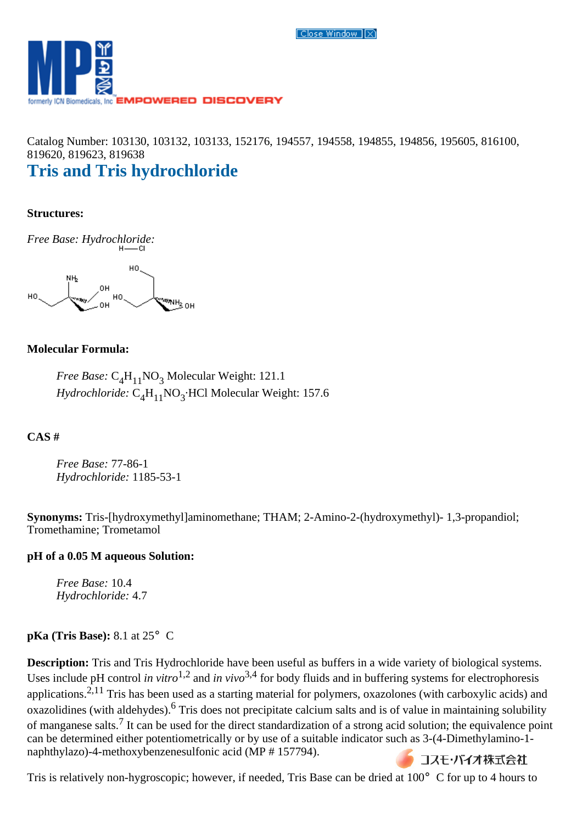Close Window R



Catalog Number: 103130, 103132, 103133, 152176, 194557, 194558, 194855, 194856, 195605, 816100, 819620, 819623, 819638

# **Tris and Tris hydrochloride**

#### **Structures:**

*Free Base: Hydrochloride:*



## **Molecular Formula:**

*Free Base:* C<sub>4</sub>H<sub>11</sub>NO<sub>3</sub> Molecular Weight: 121.1 *Hydrochloride:* C<sub>4</sub>H<sub>11</sub>NO<sub>3</sub>·HCl Molecular Weight: 157.6

## **CAS #**

*Free Base:* 77-86-1 *Hydrochloride:* 1185-53-1

**Synonyms:** Tris-[hydroxymethyl]aminomethane; THAM; 2-Amino-2-(hydroxymethyl)- 1,3-propandiol; Tromethamine; Trometamol

## **pH of a 0.05 M aqueous Solution:**

*Free Base:* 10.4 *Hydrochloride:* 4.7

#### **pKa (Tris Base):** 8.1 at 25° C

**Description:** Tris and Tris Hydrochloride have been useful as buffers in a wide variety of biological systems. Uses include pH control *in vitro*<sup>1,2</sup> and *in vivo*<sup>3,4</sup> for body fluids and in buffering systems for electrophoresis applications.<sup>2,11</sup> Tris has been used as a starting material for polymers, oxazolones (with carboxylic acids) and oxazolidines (with aldehydes).6 Tris does not precipitate calcium salts and is of value in maintaining solubility of manganese salts.7 It can be used for the direct standardization of a strong acid solution; the equivalence point can be determined either potentiometrically or by use of a suitable indicator such as 3-(4-Dimethylamino-1 naphthylazo)-4-methoxybenzenesulfonic acid (MP # 157794). コスモ・バイオ株式会社

Tris is relatively non-hygroscopic; however, if needed, Tris Base can be dried at 100°C for up to 4 hours to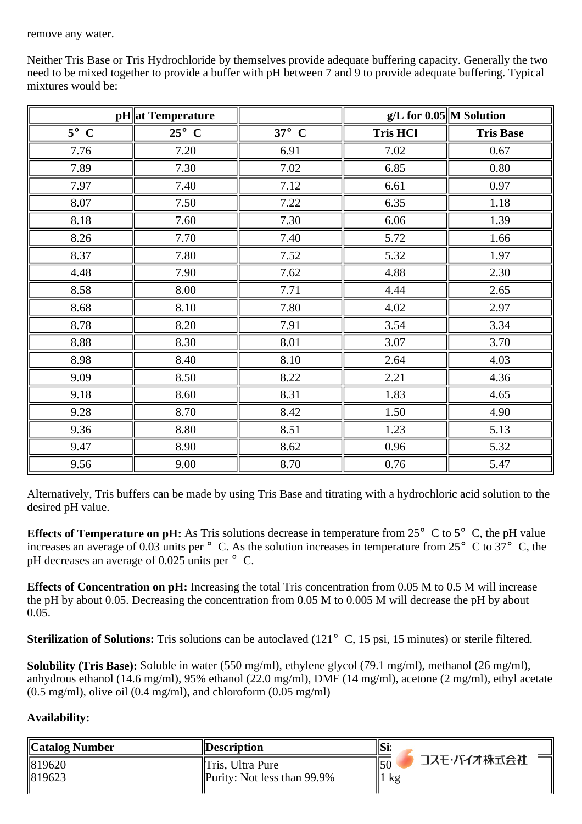remove any water.

**pH** at Temperature **g**  $\left| \n\begin{array}{ccc} \n\hline\n\end{array}\n\right|$  **g**  $\left| \n\begin{array}{ccc} \n\hline\n\end{array}\n\right|$  **g**  $\left| \n\begin{array}{ccc} \n\hline\n\end{array}\n\right|$  **M** Solution **5**°**C 25**°**C 37**°**C Tris HCl Tris Base** 7.76 || 7.20 || 6.91 || 7.02 || 0.67 7.89 || 7.30 || 7.02 || 6.85 || 0.80 7.97 || 7.40 || 7.12 || 6.61 || 0.97 8.07 || 7.50 || 7.22 || 6.35 || 1.18 8.18 || 7.60 || 7.30 || 6.06 || 1.39 8.26 || 7.70 || 7.40 || 5.72 || 1.66 8.37 || 7.80 || 7.52 || 5.32 || 1.97 4.48 || 7.90 || 7.62 || 4.88 || 2.30 8.58 || 8.00 || 7.71 || 4.44 || 2.65 8.68 || 8.10 || 7.80 || 4.02 || 2.97 8.78 || 8.20 || 7.91 || 3.54 || 3.34 8.88 || 8.30 || 8.01 || 3.07 || 3.70 8.98 || 8.40 || 8.10 || 2.64 || 4.03 9.09  $\parallel$  8.50  $\parallel$  8.22  $\parallel$  2.21  $\parallel$  4.36

Neither Tris Base or Tris Hydrochloride by themselves provide adequate buffering capacity. Generally the two need to be mixed together to provide a buffer with pH between 7 and 9 to provide adequate buffering. Typical mixtures would be:

Alternatively, Tris buffers can be made by using Tris Base and titrating with a hydrochloric acid solution to the desired pH value.

9.18 || 8.60 || 8.31 || 1.83 || 4.65 9.28 || 8.70 || 8.42 || 1.50 || 4.90 9.36 || 8.80 || 8.51 || 1.23 || 5.13 9.47 || 8.90 || 8.62 || 0.96 || 5.32 9.56 || 9.00 || 8.70 || 0.76 || 5.47

**Effects of Temperature on pH:** As Tris solutions decrease in temperature from  $25^{\circ}$  C to  $5^{\circ}$  C, the pH value increases an average of 0.03 units per  $\degree$  C. As the solution increases in temperature from 25 $\degree$  C to 37 $\degree$ C, the pH decreases an average of 0.025 units per  $\degree$  C.

**Effects of Concentration on pH:** Increasing the total Tris concentration from 0.05 M to 0.5 M will increase the pH by about 0.05. Decreasing the concentration from 0.05 M to 0.005 M will decrease the pH by about 0.05.

**Sterilization of Solutions:** Tris solutions can be autoclaved (121°C, 15 psi, 15 minutes) or sterile filtered.

**Solubility (Tris Base):** Soluble in water (550 mg/ml), ethylene glycol (79.1 mg/ml), methanol (26 mg/ml), anhydrous ethanol (14.6 mg/ml), 95% ethanol (22.0 mg/ml), DMF (14 mg/ml), acetone (2 mg/ml), ethyl acetate  $(0.5 \text{ mg/ml})$ , olive oil  $(0.4 \text{ mg/ml})$ , and chloroform  $(0.05 \text{ mg/ml})$ 

# **Availability:**

| Catalog Number | <i><b>Description</b></i>      | Si:                |
|----------------|--------------------------------|--------------------|
| 819620         | Tris, Ultra Pure               | コスモ・バイオ株式会社<br>15C |
|                | Purity: Not less than $99.9\%$ | $\parallel$ l kg   |
| 819623         |                                |                    |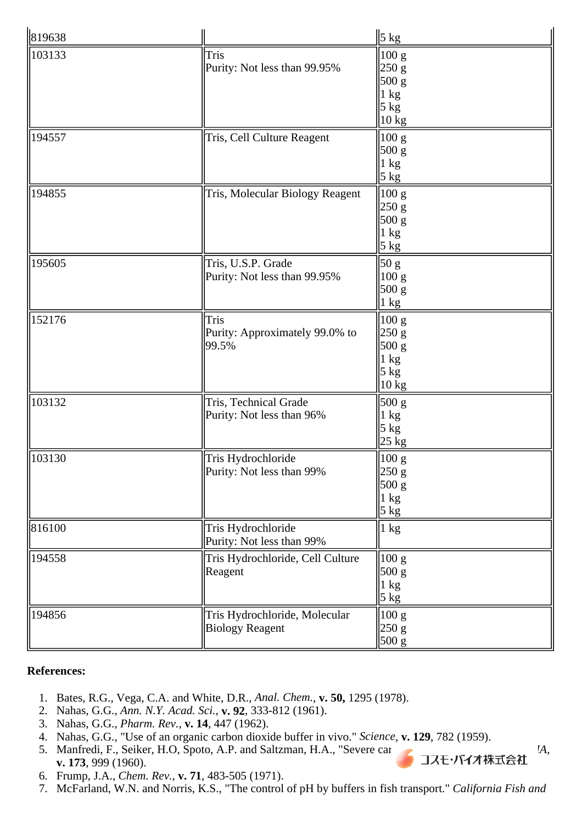| 819638 |                                                         | $\ 5 \underline{kg}\ $                                                                       |
|--------|---------------------------------------------------------|----------------------------------------------------------------------------------------------|
| 103133 | Tris<br>Purity: Not less than 99.95%                    | 100 g<br>250 g<br>500 g<br>$\vert 1 \text{ kg} \vert$<br>$5 \text{ kg}$<br>$ 10 \text{ kg} $ |
| 194557 | Tris, Cell Culture Reagent                              | 100 g<br>500 g<br>$\vert 1 \text{ kg} \vert$<br>5 kg                                         |
| 194855 | Tris, Molecular Biology Reagent                         | 100 g<br>250 g<br>500 g<br>$1 \text{ kg}$<br>$5 \underline{\text{kg}}$                       |
| 195605 | Tris, U.S.P. Grade<br>Purity: Not less than 99.95%      | $\overline{50}$ g<br>100 g<br>500 g<br>$ 1 \text{ kg} $                                      |
| 152176 | Tris<br>Purity: Approximately 99.0% to<br>99.5%         | 100 g<br>250 g<br>500 g<br>$\ln$ kg<br>$ 5 \text{ kg} $<br>$ 10 \text{ kg} $                 |
| 103132 | Tris, Technical Grade<br>Purity: Not less than 96%      | 500 g<br>$\ln$ kg<br>5 kg<br>$25 \text{ kg}$                                                 |
| 103130 | Tris Hydrochloride<br>Purity: Not less than 99%         | $\vert$ 100 g<br> 250 g <br>500 g<br>$\ln$ kg<br>5 kg                                        |
| 816100 | Tris Hydrochloride<br>Purity: Not less than 99%         | $\ln$ kg                                                                                     |
| 194558 | Tris Hydrochloride, Cell Culture<br>Reagent             | 100 g<br>500 g<br>$1 \text{ kg}$<br>5 kg                                                     |
| 194856 | Tris Hydrochloride, Molecular<br><b>Biology Reagent</b> | 100 g<br>250 g<br>500 g                                                                      |

#### **References:**

- 1. Bates, R.G., Vega, C.A. and White, D.R., *Anal. Chem.*, **v. 50,** 1295 (1978).
- 2. Nahas, G.G., *Ann. N.Y. Acad. Sci.*, **v. 92**, 333-812 (1961).
- 3. Nahas, G.G., *Pharm. Rev.*, **v. 14**, 447 (1962).
- 4. Nahas, G.G., "Use of an organic carbon dioxide buffer in vivo." *Science*, **v. 129**, 782 (1959).
- 5. Manfredi, F., Seiker, H.O, Spoto, A.P. and Saltzman, H.A., "Severe carbon **dioxide into into into the into divide into into the into divide into into the into the into**  $\mathbf{A}$ **,**  $\mathbf{v}$ **,**  $\mathbf{173}$ **, 999 (1960). v. 173**, 999 (1960).
- 6. Frump, J.A., *Chem. Rev.*, **v. 71**, 483-505 (1971).
- 7. McFarland, W.N. and Norris, K.S., "The control of pH by buffers in fish transport." *California Fish and*